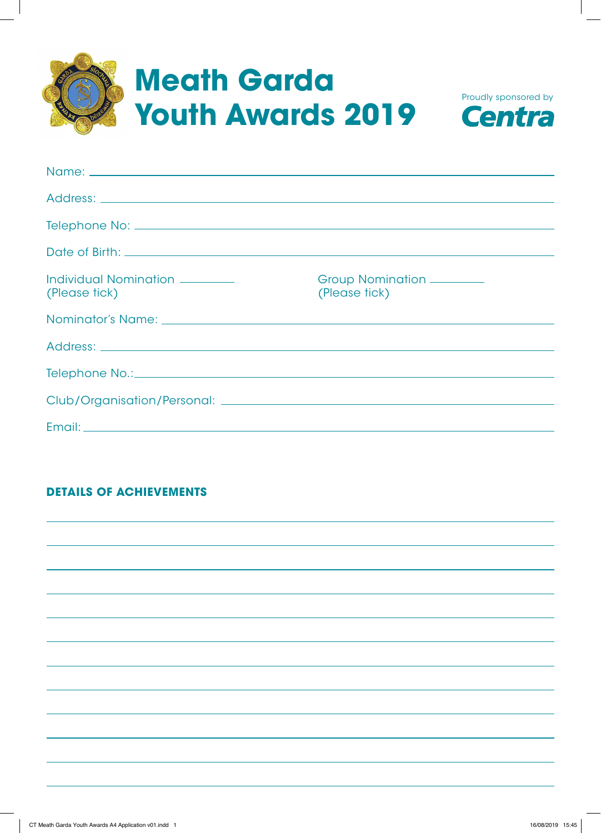



| Group Nomination _______<br>(Please tick) |
|-------------------------------------------|
|                                           |
|                                           |
|                                           |
|                                           |
|                                           |
|                                           |

# **DETAILS OF ACHIEVEMENTS**